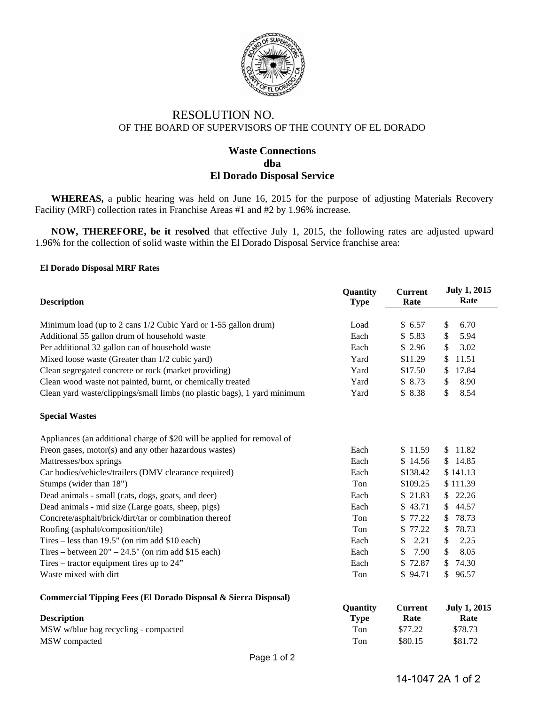

# RESOLUTION NO. OF THE BOARD OF SUPERVISORS OF THE COUNTY OF EL DORADO

## **Waste Connections dba El Dorado Disposal Service**

**WHEREAS,** a public hearing was held on June 16, 2015 for the purpose of adjusting Materials Recovery Facility (MRF) collection rates in Franchise Areas #1 and #2 by 1.96% increase.

**NOW, THEREFORE, be it resolved** that effective July 1, 2015, the following rates are adjusted upward 1.96% for the collection of solid waste within the El Dorado Disposal Service franchise area:

#### **El Dorado Disposal MRF Rates**

| <b>Description</b>                                                       | Quantity<br><b>Type</b> | <b>Current</b><br>Rate | <b>July 1, 2015</b><br>Rate |
|--------------------------------------------------------------------------|-------------------------|------------------------|-----------------------------|
| Minimum load (up to 2 cans 1/2 Cubic Yard or 1-55 gallon drum)           | Load                    | \$6.57                 | $\mathbb{S}$<br>6.70        |
| Additional 55 gallon drum of household waste                             | Each                    | \$5.83                 | \$<br>5.94                  |
| Per additional 32 gallon can of household waste                          | Each                    | \$2.96                 | 3.02<br>\$                  |
| Mixed loose waste (Greater than 1/2 cubic yard)                          | Yard                    | \$11.29                | 11.51<br>\$                 |
| Clean segregated concrete or rock (market providing)                     | Yard                    | \$17.50                | 17.84<br>\$                 |
| Clean wood waste not painted, burnt, or chemically treated               | Yard                    | \$8.73                 | \$<br>8.90                  |
| Clean yard waste/clippings/small limbs (no plastic bags), 1 yard minimum | Yard                    | \$8.38                 | \$<br>8.54                  |
| <b>Special Wastes</b>                                                    |                         |                        |                             |
| Appliances (an additional charge of \$20 will be applied for removal of  |                         |                        |                             |
| Freon gases, motor(s) and any other hazardous wastes)                    | Each                    | \$11.59                | \$11.82                     |
| Mattresses/box springs                                                   | Each                    | \$14.56                | \$14.85                     |
| Car bodies/vehicles/trailers (DMV clearance required)                    | Each                    | \$138.42               | \$141.13                    |
| Stumps (wider than 18")                                                  | Ton                     | \$109.25               | \$111.39                    |
| Dead animals - small (cats, dogs, goats, and deer)                       | Each                    | \$21.83                | \$22.26                     |
| Dead animals - mid size (Large goats, sheep, pigs)                       | Each                    | \$43.71                | 44.57<br>\$.                |
| Concrete/asphalt/brick/dirt/tar or combination thereof                   | Ton                     | \$ 77.22               | 78.73<br>\$                 |
| Roofing (asphalt/composition/tile)                                       | Ton                     | \$77.22                | 78.73<br>\$                 |
| Tires – less than $19.5$ " (on rim add \$10 each)                        | Each                    | 2.21<br>S.             | 2.25<br>\$                  |
| Tires – between $20^{\circ}$ – 24.5" (on rim add \$15 each)              | Each                    | 7.90<br>\$             | \$<br>8.05                  |
| Tires – tractor equipment tires up to $24$ "                             | Each                    | \$72.87                | 74.30<br>\$                 |
| Waste mixed with dirt                                                    | Ton                     | \$94.71                | \$<br>96.57                 |

#### **Commercial Tipping Fees (El Dorado Disposal & Sierra Disposal)**

| <b>Description</b>                   | <b>Ouantity</b><br>Type | Current<br>Rate | <b>July 1, 2015</b><br>Rate |
|--------------------------------------|-------------------------|-----------------|-----------------------------|
| MSW w/blue bag recycling - compacted | Ton                     | \$77.22         | \$78.73                     |
| MSW compacted                        | Ton                     | \$80.15         | \$81.72                     |